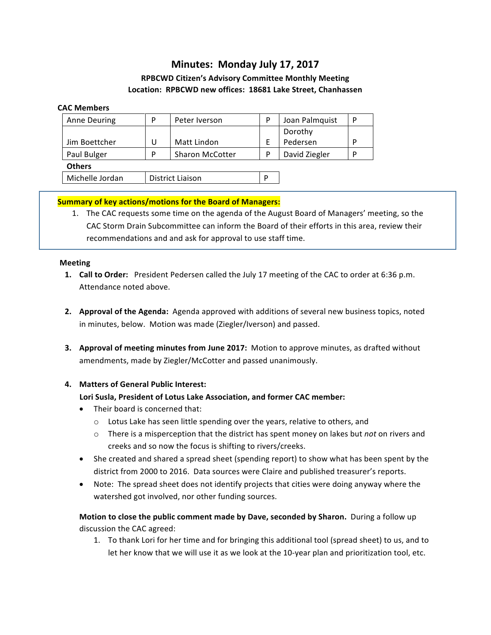# **Minutes: Monday July 17, 2017**

# **RPBCWD Citizen's Advisory Committee Monthly Meeting** Location: RPBCWD new offices: 18681 Lake Street, Chanhassen

#### **CAC Members**

| <b>Anne Deuring</b> | P                       | Peter Iverson          | P | Joan Palmquist | P |
|---------------------|-------------------------|------------------------|---|----------------|---|
|                     |                         |                        |   | Dorothy        |   |
| Jim Boettcher       | U                       | Matt Lindon            |   | Pedersen       | P |
| Paul Bulger         | P                       | <b>Sharon McCotter</b> | D | David Ziegler  | P |
| <b>Others</b>       |                         |                        |   |                |   |
| Michelle Jordan     | <b>District Liaison</b> |                        | D |                |   |

### **Summary of key actions/motions for the Board of Managers:**

1. The CAC requests some time on the agenda of the August Board of Managers' meeting, so the CAC Storm Drain Subcommittee can inform the Board of their efforts in this area, review their recommendations and and ask for approval to use staff time.

#### **Meeting**

- **1. Call to Order:** President Pedersen called the July 17 meeting of the CAC to order at 6:36 p.m. Attendance noted above.
- **2. Approval of the Agenda:** Agenda approved with additions of several new business topics, noted in minutes, below. Motion was made (Ziegler/Iverson) and passed.
- **3.** Approval of meeting minutes from June 2017: Motion to approve minutes, as drafted without amendments, made by Ziegler/McCotter and passed unanimously.

### 4. **Matters of General Public Interest:**

### Lori Susla, President of Lotus Lake Association, and former CAC member:

- Their board is concerned that:
	- $\circ$  Lotus Lake has seen little spending over the years, relative to others, and
	- $\circ$  There is a misperception that the district has spent money on lakes but *not* on rivers and creeks and so now the focus is shifting to rivers/creeks.
- She created and shared a spread sheet (spending report) to show what has been spent by the district from 2000 to 2016. Data sources were Claire and published treasurer's reports.
- Note: The spread sheet does not identify projects that cities were doing anyway where the watershed got involved, nor other funding sources.

# **Motion to close the public comment made by Dave, seconded by Sharon.** During a follow up discussion the CAC agreed:

1. To thank Lori for her time and for bringing this additional tool (spread sheet) to us, and to let her know that we will use it as we look at the 10-year plan and prioritization tool, etc.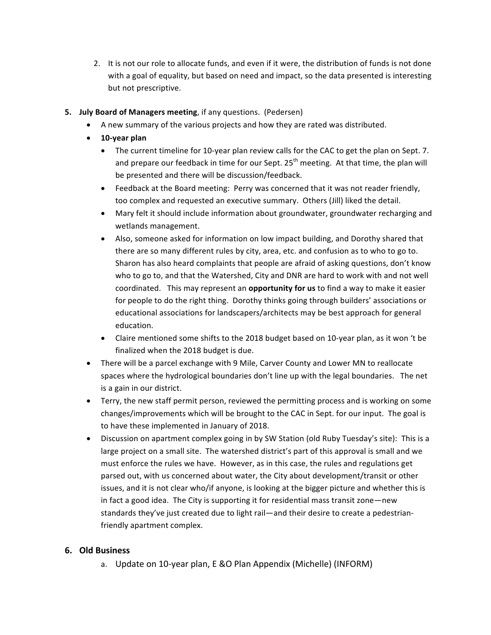- 2. It is not our role to allocate funds, and even if it were, the distribution of funds is not done with a goal of equality, but based on need and impact, so the data presented is interesting but not prescriptive.
- **5. July Board of Managers meeting**, if any questions. (Pedersen)
	- A new summary of the various projects and how they are rated was distributed.
	- **10-year plan**
		- The current timeline for 10-year plan review calls for the CAC to get the plan on Sept. 7. and prepare our feedback in time for our Sept.  $25<sup>th</sup>$  meeting. At that time, the plan will be presented and there will be discussion/feedback.
		- Feedback at the Board meeting: Perry was concerned that it was not reader friendly, too complex and requested an executive summary. Others (Jill) liked the detail.
		- Mary felt it should include information about groundwater, groundwater recharging and wetlands management.
		- Also, someone asked for information on low impact building, and Dorothy shared that there are so many different rules by city, area, etc. and confusion as to who to go to. Sharon has also heard complaints that people are afraid of asking questions, don't know who to go to, and that the Watershed, City and DNR are hard to work with and not well coordinated. This may represent an **opportunity for us** to find a way to make it easier for people to do the right thing. Dorothy thinks going through builders' associations or educational associations for landscapers/architects may be best approach for general education.
		- Claire mentioned some shifts to the 2018 budget based on 10-year plan, as it won 't be finalized when the 2018 budget is due.
	- There will be a parcel exchange with 9 Mile, Carver County and Lower MN to reallocate spaces where the hydrological boundaries don't line up with the legal boundaries. The net is a gain in our district.
	- Terry, the new staff permit person, reviewed the permitting process and is working on some changes/improvements which will be brought to the CAC in Sept. for our input. The goal is to have these implemented in January of 2018.
	- Discussion on apartment complex going in by SW Station (old Ruby Tuesday's site): This is a large project on a small site. The watershed district's part of this approval is small and we must enforce the rules we have. However, as in this case, the rules and regulations get parsed out, with us concerned about water, the City about development/transit or other issues, and it is not clear who/if anyone, is looking at the bigger picture and whether this is in fact a good idea. The City is supporting it for residential mass transit zone—new standards they've just created due to light rail—and their desire to create a pedestrianfriendly apartment complex.

# **6. Old Business**

a. Update on 10-year plan, E &O Plan Appendix (Michelle) (INFORM)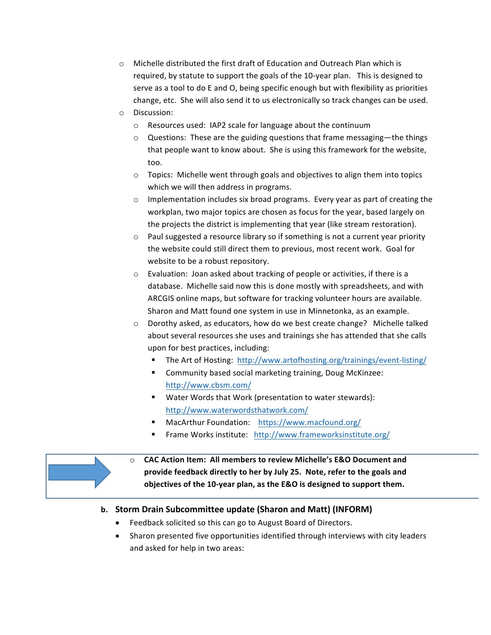- $\circ$  Michelle distributed the first draft of Education and Outreach Plan which is required, by statute to support the goals of the 10-year plan. This is designed to serve as a tool to do E and O, being specific enough but with flexibility as priorities change, etc. She will also send it to us electronically so track changes can be used.
- o Discussion:
	- $\circ$  Resources used: IAP2 scale for language about the continuum
	- $\circ$  Questions: These are the guiding questions that frame messaging—the things that people want to know about. She is using this framework for the website, too.
	- $\circ$  Topics: Michelle went through goals and objectives to align them into topics which we will then address in programs.
	- $\circ$  Implementation includes six broad programs. Every year as part of creating the workplan, two major topics are chosen as focus for the year, based largely on the projects the district is implementing that year (like stream restoration).
	- $\circ$  Paul suggested a resource library so if something is not a current year priority the website could still direct them to previous, most recent work. Goal for website to be a robust repository.
	- $\circ$  Evaluation: Joan asked about tracking of people or activities, if there is a database. Michelle said now this is done mostly with spreadsheets, and with ARCGIS online maps, but software for tracking volunteer hours are available. Sharon and Matt found one system in use in Minnetonka, as an example.
	- $\circ$  Dorothy asked, as educators, how do we best create change? Michelle talked about several resources she uses and trainings she has attended that she calls upon for best practices, including:
		- The Art of Hosting: http://www.artofhosting.org/trainings/event-listing/
		- Community based social marketing training, Doug McKinzee: http://www.cbsm.com/
		- Water Words that Work (presentation to water stewards): http://www.waterwordsthatwork.com/
		- MacArthur Foundation: https://www.macfound.org/
		- Frame Works institute: http://www.frameworksinstitute.org/



 $\circ$  **CAC Action Item: All members to review Michelle's E&O Document and** provide feedback directly to her by July 25. Note, refer to the goals and objectives of the 10-year plan, as the E&O is designed to support them.

# **b. Storm Drain Subcommittee update (Sharon and Matt) (INFORM)**

- Feedback solicited so this can go to August Board of Directors.
- Sharon presented five opportunities identified through interviews with city leaders and asked for help in two areas: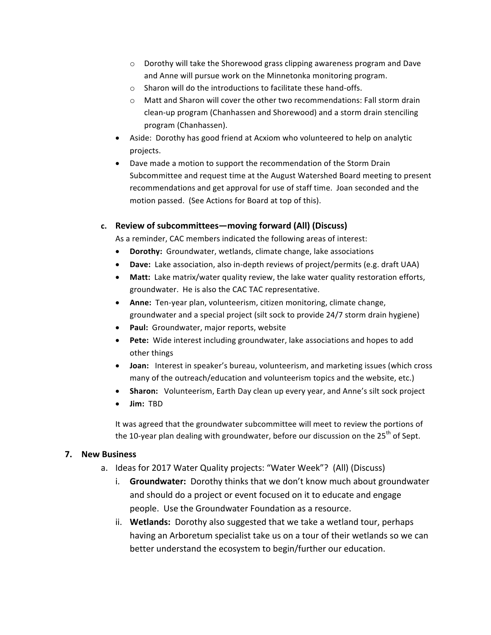- $\circ$  Dorothy will take the Shorewood grass clipping awareness program and Dave and Anne will pursue work on the Minnetonka monitoring program.
- $\circ$  Sharon will do the introductions to facilitate these hand-offs.
- $\circ$  Matt and Sharon will cover the other two recommendations: Fall storm drain clean-up program (Chanhassen and Shorewood) and a storm drain stenciling program (Chanhassen).
- Aside: Dorothy has good friend at Acxiom who volunteered to help on analytic projects.
- Dave made a motion to support the recommendation of the Storm Drain Subcommittee and request time at the August Watershed Board meeting to present recommendations and get approval for use of staff time. Joan seconded and the motion passed. (See Actions for Board at top of this).

### c. **Review of subcommittees—moving forward (All) (Discuss)**

As a reminder, CAC members indicated the following areas of interest:

- Dorothy: Groundwater, wetlands, climate change, lake associations
- Dave: Lake association, also in-depth reviews of project/permits (e.g. draft UAA)
- Matt: Lake matrix/water quality review, the lake water quality restoration efforts, groundwater. He is also the CAC TAC representative.
- Anne: Ten-year plan, volunteerism, citizen monitoring, climate change, groundwater and a special project (silt sock to provide 24/7 storm drain hygiene)
- **Paul:** Groundwater, major reports, website
- **Pete:** Wide interest including groundwater, lake associations and hopes to add other things
- **Joan:** Interest in speaker's bureau, volunteerism, and marketing issues (which cross many of the outreach/education and volunteerism topics and the website, etc.)
- **Sharon:** Volunteerism, Earth Day clean up every year, and Anne's silt sock project
- **Jim:** TBD

It was agreed that the groundwater subcommittee will meet to review the portions of the 10-year plan dealing with groundwater, before our discussion on the  $25^{th}$  of Sept.

# **7. New Business**

- a. Ideas for 2017 Water Quality projects: "Water Week"? (All) (Discuss)
	- i. **Groundwater:** Dorothy thinks that we don't know much about groundwater and should do a project or event focused on it to educate and engage people. Use the Groundwater Foundation as a resource.
	- ii. **Wetlands:** Dorothy also suggested that we take a wetland tour, perhaps having an Arboretum specialist take us on a tour of their wetlands so we can better understand the ecosystem to begin/further our education.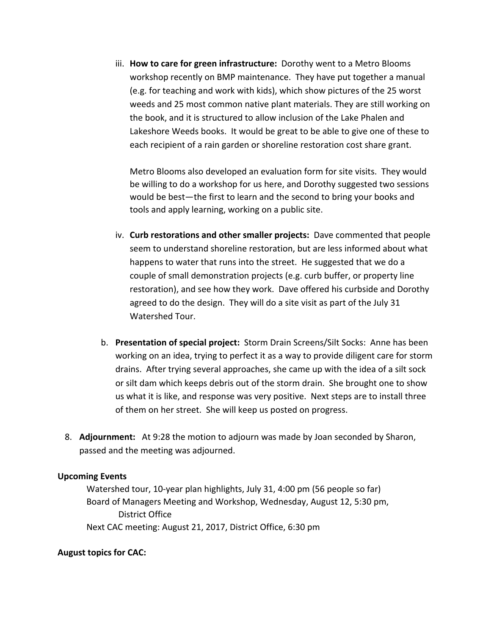iii. **How to care for green infrastructure:** Dorothy went to a Metro Blooms workshop recently on BMP maintenance. They have put together a manual (e.g. for teaching and work with kids), which show pictures of the 25 worst weeds and 25 most common native plant materials. They are still working on the book, and it is structured to allow inclusion of the Lake Phalen and Lakeshore Weeds books. It would be great to be able to give one of these to each recipient of a rain garden or shoreline restoration cost share grant.

Metro Blooms also developed an evaluation form for site visits. They would be willing to do a workshop for us here, and Dorothy suggested two sessions would be best—the first to learn and the second to bring your books and tools and apply learning, working on a public site.

- iv. **Curb restorations and other smaller projects:** Dave commented that people seem to understand shoreline restoration, but are less informed about what happens to water that runs into the street. He suggested that we do a couple of small demonstration projects (e.g. curb buffer, or property line restoration), and see how they work. Dave offered his curbside and Dorothy agreed to do the design. They will do a site visit as part of the July 31 Watershed Tour.
- b. **Presentation of special project:** Storm Drain Screens/Silt Socks: Anne has been working on an idea, trying to perfect it as a way to provide diligent care for storm drains. After trying several approaches, she came up with the idea of a silt sock or silt dam which keeps debris out of the storm drain. She brought one to show us what it is like, and response was very positive. Next steps are to install three of them on her street. She will keep us posted on progress.
- 8. **Adjournment:** At 9:28 the motion to adjourn was made by Joan seconded by Sharon, passed and the meeting was adjourned.

# **Upcoming Events**

Watershed tour, 10-year plan highlights, July 31, 4:00 pm (56 people so far) Board of Managers Meeting and Workshop, Wednesday, August 12, 5:30 pm, District Office Next CAC meeting: August 21, 2017, District Office, 6:30 pm

# **August topics for CAC:**